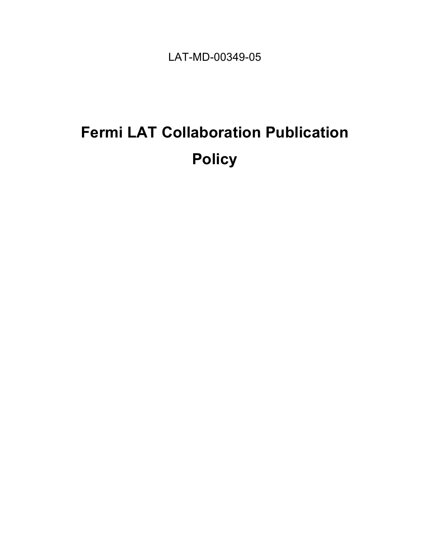LAT-MD-00349-05

# **Fermi LAT Collaboration Publication Policy**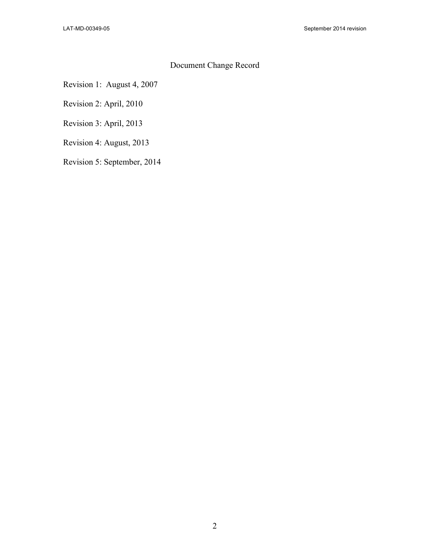#### Document Change Record

Revision 1: August 4, 2007

Revision 2: April, 2010

Revision 3: April, 2013

Revision 4: August, 2013

Revision 5: September, 2014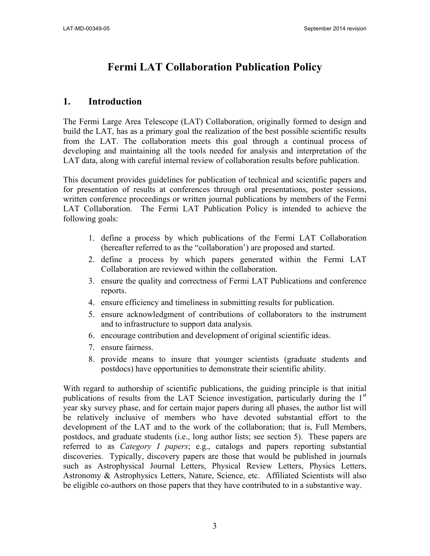# **Fermi LAT Collaboration Publication Policy**

## **1. Introduction**

The Fermi Large Area Telescope (LAT) Collaboration, originally formed to design and build the LAT, has as a primary goal the realization of the best possible scientific results from the LAT. The collaboration meets this goal through a continual process of developing and maintaining all the tools needed for analysis and interpretation of the LAT data, along with careful internal review of collaboration results before publication.

This document provides guidelines for publication of technical and scientific papers and for presentation of results at conferences through oral presentations, poster sessions, written conference proceedings or written journal publications by members of the Fermi LAT Collaboration. The Fermi LAT Publication Policy is intended to achieve the following goals:

- 1. define a process by which publications of the Fermi LAT Collaboration (hereafter referred to as the "collaboration') are proposed and started.
- 2. define a process by which papers generated within the Fermi LAT Collaboration are reviewed within the collaboration.
- 3. ensure the quality and correctness of Fermi LAT Publications and conference reports.
- 4. ensure efficiency and timeliness in submitting results for publication.
- 5. ensure acknowledgment of contributions of collaborators to the instrument and to infrastructure to support data analysis.
- 6. encourage contribution and development of original scientific ideas.
- 7. ensure fairness.
- 8. provide means to insure that younger scientists (graduate students and postdocs) have opportunities to demonstrate their scientific ability.

With regard to authorship of scientific publications, the guiding principle is that initial publications of results from the LAT Science investigation, particularly during the  $1<sup>st</sup>$ year sky survey phase, and for certain major papers during all phases, the author list will be relatively inclusive of members who have devoted substantial effort to the development of the LAT and to the work of the collaboration; that is, Full Members, postdocs, and graduate students (i.e., long author lists; see section 5). These papers are referred to as *Category I papers*; e.g., catalogs and papers reporting substantial discoveries. Typically, discovery papers are those that would be published in journals such as Astrophysical Journal Letters, Physical Review Letters, Physics Letters, Astronomy & Astrophysics Letters, Nature, Science, etc. Affiliated Scientists will also be eligible co-authors on those papers that they have contributed to in a substantive way.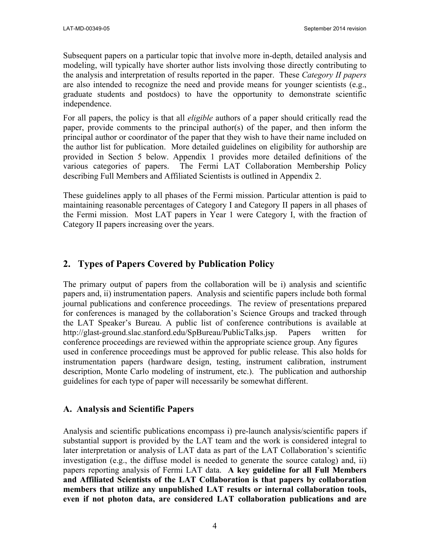Subsequent papers on a particular topic that involve more in-depth, detailed analysis and modeling, will typically have shorter author lists involving those directly contributing to the analysis and interpretation of results reported in the paper. These *Category II papers*  are also intended to recognize the need and provide means for younger scientists (e.g., graduate students and postdocs) to have the opportunity to demonstrate scientific independence.

For all papers, the policy is that all *eligible* authors of a paper should critically read the paper, provide comments to the principal author(s) of the paper, and then inform the principal author or coordinator of the paper that they wish to have their name included on the author list for publication. More detailed guidelines on eligibility for authorship are provided in Section 5 below. Appendix 1 provides more detailed definitions of the various categories of papers. The Fermi LAT Collaboration Membership Policy describing Full Members and Affiliated Scientists is outlined in Appendix 2.

These guidelines apply to all phases of the Fermi mission. Particular attention is paid to maintaining reasonable percentages of Category I and Category II papers in all phases of the Fermi mission. Most LAT papers in Year 1 were Category I, with the fraction of Category II papers increasing over the years.

# **2. Types of Papers Covered by Publication Policy**

The primary output of papers from the collaboration will be i) analysis and scientific papers and, ii) instrumentation papers. Analysis and scientific papers include both formal journal publications and conference proceedings. The review of presentations prepared for conferences is managed by the collaboration's Science Groups and tracked through the LAT Speaker's Bureau. A public list of conference contributions is available at http://glast-ground.slac.stanford.edu/SpBureau/PublicTalks.jsp. Papers written for conference proceedings are reviewed within the appropriate science group. Any figures used in conference proceedings must be approved for public release. This also holds for instrumentation papers (hardware design, testing, instrument calibration, instrument description, Monte Carlo modeling of instrument, etc.). The publication and authorship guidelines for each type of paper will necessarily be somewhat different.

#### **A. Analysis and Scientific Papers**

Analysis and scientific publications encompass i) pre-launch analysis/scientific papers if substantial support is provided by the LAT team and the work is considered integral to later interpretation or analysis of LAT data as part of the LAT Collaboration's scientific investigation (e.g., the diffuse model is needed to generate the source catalog) and, ii) papers reporting analysis of Fermi LAT data. **A key guideline for all Full Members and Affiliated Scientists of the LAT Collaboration is that papers by collaboration members that utilize any unpublished LAT results or internal collaboration tools, even if not photon data, are considered LAT collaboration publications and are**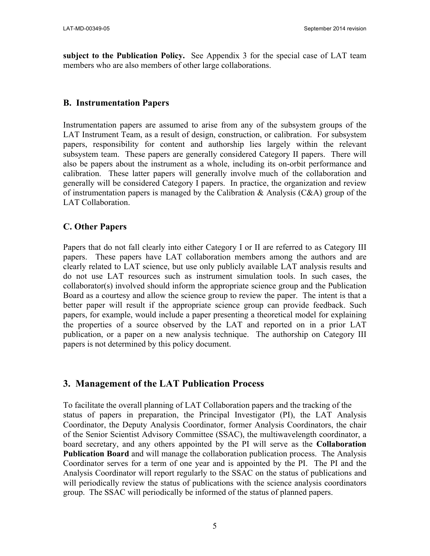**subject to the Publication Policy.** See Appendix 3 for the special case of LAT team members who are also members of other large collaborations.

#### **B. Instrumentation Papers**

Instrumentation papers are assumed to arise from any of the subsystem groups of the LAT Instrument Team, as a result of design, construction, or calibration. For subsystem papers, responsibility for content and authorship lies largely within the relevant subsystem team. These papers are generally considered Category II papers. There will also be papers about the instrument as a whole, including its on-orbit performance and calibration. These latter papers will generally involve much of the collaboration and generally will be considered Category I papers. In practice, the organization and review of instrumentation papers is managed by the Calibration  $\&$  Analysis (C $\&$ A) group of the LAT Collaboration.

#### **C. Other Papers**

Papers that do not fall clearly into either Category I or II are referred to as Category III papers. These papers have LAT collaboration members among the authors and are clearly related to LAT science, but use only publicly available LAT analysis results and do not use LAT resources such as instrument simulation tools. In such cases, the collaborator(s) involved should inform the appropriate science group and the Publication Board as a courtesy and allow the science group to review the paper. The intent is that a better paper will result if the appropriate science group can provide feedback. Such papers, for example, would include a paper presenting a theoretical model for explaining the properties of a source observed by the LAT and reported on in a prior LAT publication, or a paper on a new analysis technique. The authorship on Category III papers is not determined by this policy document.

## **3. Management of the LAT Publication Process**

To facilitate the overall planning of LAT Collaboration papers and the tracking of the status of papers in preparation, the Principal Investigator (PI), the LAT Analysis Coordinator, the Deputy Analysis Coordinator, former Analysis Coordinators, the chair of the Senior Scientist Advisory Committee (SSAC), the multiwavelength coordinator, a board secretary, and any others appointed by the PI will serve as the **Collaboration Publication Board** and will manage the collaboration publication process. The Analysis Coordinator serves for a term of one year and is appointed by the PI. The PI and the Analysis Coordinator will report regularly to the SSAC on the status of publications and will periodically review the status of publications with the science analysis coordinators group. The SSAC will periodically be informed of the status of planned papers.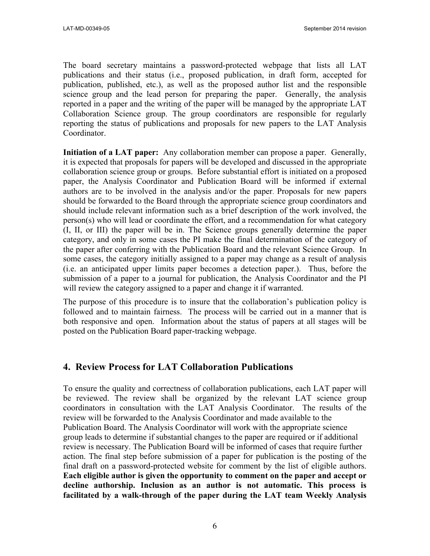The board secretary maintains a password-protected webpage that lists all LAT publications and their status (i.e., proposed publication, in draft form, accepted for publication, published, etc.), as well as the proposed author list and the responsible science group and the lead person for preparing the paper. Generally, the analysis reported in a paper and the writing of the paper will be managed by the appropriate LAT Collaboration Science group. The group coordinators are responsible for regularly reporting the status of publications and proposals for new papers to the LAT Analysis Coordinator.

**Initiation of a LAT paper:** Any collaboration member can propose a paper. Generally, it is expected that proposals for papers will be developed and discussed in the appropriate collaboration science group or groups. Before substantial effort is initiated on a proposed paper, the Analysis Coordinator and Publication Board will be informed if external authors are to be involved in the analysis and/or the paper. Proposals for new papers should be forwarded to the Board through the appropriate science group coordinators and should include relevant information such as a brief description of the work involved, the person(s) who will lead or coordinate the effort, and a recommendation for what category (I, II, or III) the paper will be in. The Science groups generally determine the paper category, and only in some cases the PI make the final determination of the category of the paper after conferring with the Publication Board and the relevant Science Group. In some cases, the category initially assigned to a paper may change as a result of analysis (i.e. an anticipated upper limits paper becomes a detection paper.). Thus, before the submission of a paper to a journal for publication, the Analysis Coordinator and the PI will review the category assigned to a paper and change it if warranted.

The purpose of this procedure is to insure that the collaboration's publication policy is followed and to maintain fairness. The process will be carried out in a manner that is both responsive and open. Information about the status of papers at all stages will be posted on the Publication Board paper-tracking webpage.

#### **4. Review Process for LAT Collaboration Publications**

To ensure the quality and correctness of collaboration publications, each LAT paper will be reviewed. The review shall be organized by the relevant LAT science group coordinators in consultation with the LAT Analysis Coordinator. The results of the review will be forwarded to the Analysis Coordinator and made available to the Publication Board. The Analysis Coordinator will work with the appropriate science group leads to determine if substantial changes to the paper are required or if additional review is necessary. The Publication Board will be informed of cases that require further action. The final step before submission of a paper for publication is the posting of the final draft on a password-protected website for comment by the list of eligible authors. **Each eligible author is given the opportunity to comment on the paper and accept or decline authorship. Inclusion as an author is not automatic. This process is facilitated by a walk-through of the paper during the LAT team Weekly Analysis**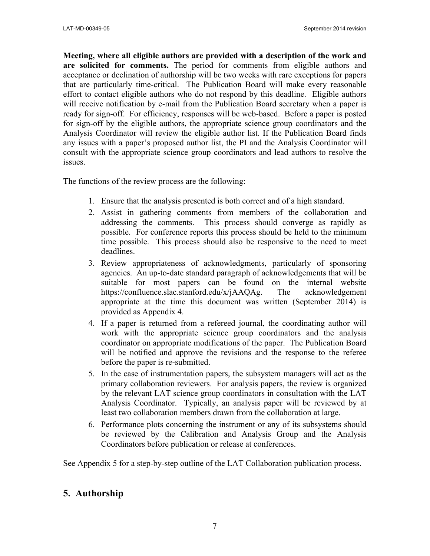**Meeting, where all eligible authors are provided with a description of the work and are solicited for comments.** The period for comments from eligible authors and acceptance or declination of authorship will be two weeks with rare exceptions for papers that are particularly time-critical. The Publication Board will make every reasonable effort to contact eligible authors who do not respond by this deadline. Eligible authors will receive notification by e-mail from the Publication Board secretary when a paper is ready for sign-off. For efficiency, responses will be web-based. Before a paper is posted for sign-off by the eligible authors, the appropriate science group coordinators and the Analysis Coordinator will review the eligible author list. If the Publication Board finds any issues with a paper's proposed author list, the PI and the Analysis Coordinator will consult with the appropriate science group coordinators and lead authors to resolve the issues.

The functions of the review process are the following:

- 1. Ensure that the analysis presented is both correct and of a high standard.
- 2. Assist in gathering comments from members of the collaboration and addressing the comments. This process should converge as rapidly as possible. For conference reports this process should be held to the minimum time possible. This process should also be responsive to the need to meet deadlines.
- 3. Review appropriateness of acknowledgments, particularly of sponsoring agencies. An up-to-date standard paragraph of acknowledgements that will be suitable for most papers can be found on the internal website https://confluence.slac.stanford.edu/x/jAAQAg. The acknowledgement appropriate at the time this document was written (September 2014) is provided as Appendix 4.
- 4. If a paper is returned from a refereed journal, the coordinating author will work with the appropriate science group coordinators and the analysis coordinator on appropriate modifications of the paper. The Publication Board will be notified and approve the revisions and the response to the referee before the paper is re-submitted.
- 5. In the case of instrumentation papers, the subsystem managers will act as the primary collaboration reviewers. For analysis papers, the review is organized by the relevant LAT science group coordinators in consultation with the LAT Analysis Coordinator. Typically, an analysis paper will be reviewed by at least two collaboration members drawn from the collaboration at large.
- 6. Performance plots concerning the instrument or any of its subsystems should be reviewed by the Calibration and Analysis Group and the Analysis Coordinators before publication or release at conferences.

See Appendix 5 for a step-by-step outline of the LAT Collaboration publication process.

# **5. Authorship**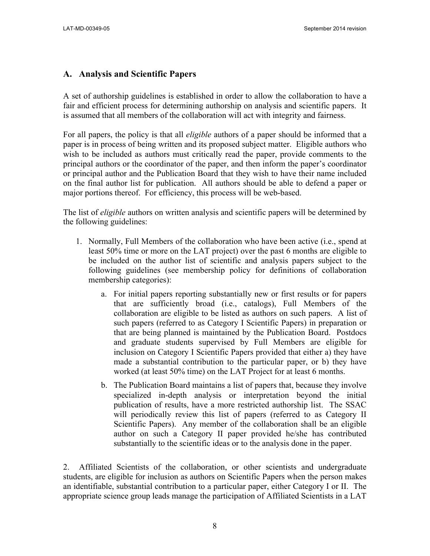#### **A. Analysis and Scientific Papers**

A set of authorship guidelines is established in order to allow the collaboration to have a fair and efficient process for determining authorship on analysis and scientific papers. It is assumed that all members of the collaboration will act with integrity and fairness.

For all papers, the policy is that all *eligible* authors of a paper should be informed that a paper is in process of being written and its proposed subject matter. Eligible authors who wish to be included as authors must critically read the paper, provide comments to the principal authors or the coordinator of the paper, and then inform the paper's coordinator or principal author and the Publication Board that they wish to have their name included on the final author list for publication. All authors should be able to defend a paper or major portions thereof. For efficiency, this process will be web-based.

The list of *eligible* authors on written analysis and scientific papers will be determined by the following guidelines:

- 1. Normally, Full Members of the collaboration who have been active (i.e., spend at least 50% time or more on the LAT project) over the past 6 months are eligible to be included on the author list of scientific and analysis papers subject to the following guidelines (see membership policy for definitions of collaboration membership categories):
	- a. For initial papers reporting substantially new or first results or for papers that are sufficiently broad (i.e., catalogs), Full Members of the collaboration are eligible to be listed as authors on such papers. A list of such papers (referred to as Category I Scientific Papers) in preparation or that are being planned is maintained by the Publication Board. Postdocs and graduate students supervised by Full Members are eligible for inclusion on Category I Scientific Papers provided that either a) they have made a substantial contribution to the particular paper, or b) they have worked (at least 50% time) on the LAT Project for at least 6 months.
	- b. The Publication Board maintains a list of papers that, because they involve specialized in-depth analysis or interpretation beyond the initial publication of results, have a more restricted authorship list. The SSAC will periodically review this list of papers (referred to as Category II Scientific Papers). Any member of the collaboration shall be an eligible author on such a Category II paper provided he/she has contributed substantially to the scientific ideas or to the analysis done in the paper.

2. Affiliated Scientists of the collaboration, or other scientists and undergraduate students, are eligible for inclusion as authors on Scientific Papers when the person makes an identifiable, substantial contribution to a particular paper, either Category I or II. The appropriate science group leads manage the participation of Affiliated Scientists in a LAT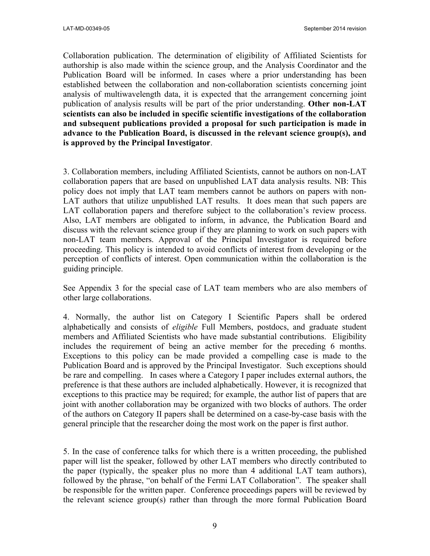Collaboration publication. The determination of eligibility of Affiliated Scientists for authorship is also made within the science group, and the Analysis Coordinator and the Publication Board will be informed. In cases where a prior understanding has been established between the collaboration and non-collaboration scientists concerning joint analysis of multiwavelength data, it is expected that the arrangement concerning joint publication of analysis results will be part of the prior understanding. **Other non-LAT scientists can also be included in specific scientific investigations of the collaboration and subsequent publications provided a proposal for such participation is made in advance to the Publication Board, is discussed in the relevant science group(s), and is approved by the Principal Investigator**.

3. Collaboration members, including Affiliated Scientists, cannot be authors on non-LAT collaboration papers that are based on unpublished LAT data analysis results. NB: This policy does not imply that LAT team members cannot be authors on papers with non-LAT authors that utilize unpublished LAT results. It does mean that such papers are LAT collaboration papers and therefore subject to the collaboration's review process. Also, LAT members are obligated to inform, in advance, the Publication Board and discuss with the relevant science group if they are planning to work on such papers with non-LAT team members. Approval of the Principal Investigator is required before proceeding. This policy is intended to avoid conflicts of interest from developing or the perception of conflicts of interest. Open communication within the collaboration is the guiding principle.

See Appendix 3 for the special case of LAT team members who are also members of other large collaborations.

4. Normally, the author list on Category I Scientific Papers shall be ordered alphabetically and consists of *eligible* Full Members, postdocs, and graduate student members and Affiliated Scientists who have made substantial contributions. Eligibility includes the requirement of being an active member for the preceding 6 months. Exceptions to this policy can be made provided a compelling case is made to the Publication Board and is approved by the Principal Investigator. Such exceptions should be rare and compelling. In cases where a Category I paper includes external authors, the preference is that these authors are included alphabetically. However, it is recognized that exceptions to this practice may be required; for example, the author list of papers that are joint with another collaboration may be organized with two blocks of authors. The order of the authors on Category II papers shall be determined on a case-by-case basis with the general principle that the researcher doing the most work on the paper is first author.

5. In the case of conference talks for which there is a written proceeding, the published paper will list the speaker, followed by other LAT members who directly contributed to the paper (typically, the speaker plus no more than 4 additional LAT team authors), followed by the phrase, "on behalf of the Fermi LAT Collaboration". The speaker shall be responsible for the written paper. Conference proceedings papers will be reviewed by the relevant science group(s) rather than through the more formal Publication Board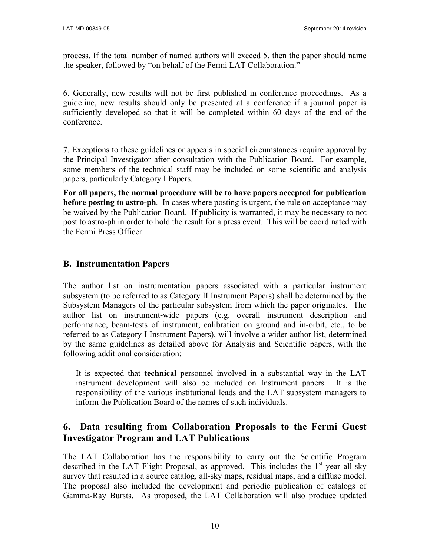process. If the total number of named authors will exceed 5, then the paper should name the speaker, followed by "on behalf of the Fermi LAT Collaboration."

6. Generally, new results will not be first published in conference proceedings. As a guideline, new results should only be presented at a conference if a journal paper is sufficiently developed so that it will be completed within 60 days of the end of the conference.

7. Exceptions to these guidelines or appeals in special circumstances require approval by the Principal Investigator after consultation with the Publication Board. For example, some members of the technical staff may be included on some scientific and analysis papers, particularly Category I Papers.

**For all papers, the normal procedure will be to have papers accepted for publication before posting to astro-ph***.* In cases where posting is urgent, the rule on acceptance may be waived by the Publication Board. If publicity is warranted, it may be necessary to not post to astro-ph in order to hold the result for a press event. This will be coordinated with the Fermi Press Officer.

#### **B. Instrumentation Papers**

The author list on instrumentation papers associated with a particular instrument subsystem (to be referred to as Category II Instrument Papers) shall be determined by the Subsystem Managers of the particular subsystem from which the paper originates. The author list on instrument-wide papers (e.g. overall instrument description and performance, beam-tests of instrument, calibration on ground and in-orbit, etc., to be referred to as Category I Instrument Papers), will involve a wider author list, determined by the same guidelines as detailed above for Analysis and Scientific papers, with the following additional consideration:

It is expected that **technical** personnel involved in a substantial way in the LAT instrument development will also be included on Instrument papers. It is the responsibility of the various institutional leads and the LAT subsystem managers to inform the Publication Board of the names of such individuals.

## **6. Data resulting from Collaboration Proposals to the Fermi Guest Investigator Program and LAT Publications**

The LAT Collaboration has the responsibility to carry out the Scientific Program described in the LAT Flight Proposal, as approved. This includes the  $1<sup>st</sup>$  year all-sky survey that resulted in a source catalog, all-sky maps, residual maps, and a diffuse model. The proposal also included the development and periodic publication of catalogs of Gamma-Ray Bursts. As proposed, the LAT Collaboration will also produce updated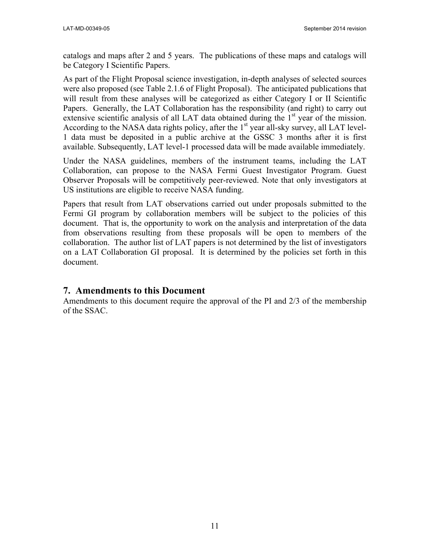catalogs and maps after 2 and 5 years. The publications of these maps and catalogs will be Category I Scientific Papers.

As part of the Flight Proposal science investigation, in-depth analyses of selected sources were also proposed (see Table 2.1.6 of Flight Proposal). The anticipated publications that will result from these analyses will be categorized as either Category I or II Scientific Papers. Generally, the LAT Collaboration has the responsibility (and right) to carry out extensive scientific analysis of all LAT data obtained during the  $1<sup>st</sup>$  year of the mission. According to the NASA data rights policy, after the  $1<sup>st</sup>$  year all-sky survey, all LAT level-1 data must be deposited in a public archive at the GSSC 3 months after it is first available. Subsequently, LAT level-1 processed data will be made available immediately.

Under the NASA guidelines, members of the instrument teams, including the LAT Collaboration, can propose to the NASA Fermi Guest Investigator Program. Guest Observer Proposals will be competitively peer-reviewed. Note that only investigators at US institutions are eligible to receive NASA funding.

Papers that result from LAT observations carried out under proposals submitted to the Fermi GI program by collaboration members will be subject to the policies of this document. That is, the opportunity to work on the analysis and interpretation of the data from observations resulting from these proposals will be open to members of the collaboration. The author list of LAT papers is not determined by the list of investigators on a LAT Collaboration GI proposal. It is determined by the policies set forth in this document.

#### **7. Amendments to this Document**

Amendments to this document require the approval of the PI and 2/3 of the membership of the SSAC.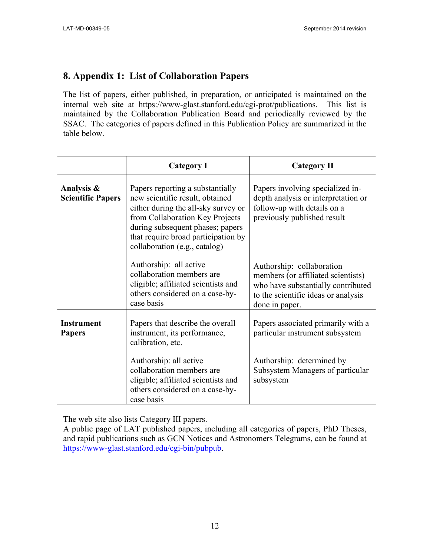## **8. Appendix 1: List of Collaboration Papers**

The list of papers, either published, in preparation, or anticipated is maintained on the internal web site at https://www-glast.stanford.edu/cgi-prot/publications. This list is maintained by the Collaboration Publication Board and periodically reviewed by the SSAC. The categories of papers defined in this Publication Policy are summarized in the table below.

|                                        | <b>Category I</b>                                                                                                                                                                                                                                         | <b>Category II</b>                                                                                                                                             |
|----------------------------------------|-----------------------------------------------------------------------------------------------------------------------------------------------------------------------------------------------------------------------------------------------------------|----------------------------------------------------------------------------------------------------------------------------------------------------------------|
| Analysis &<br><b>Scientific Papers</b> | Papers reporting a substantially<br>new scientific result, obtained<br>either during the all-sky survey or<br>from Collaboration Key Projects<br>during subsequent phases; papers<br>that require broad participation by<br>collaboration (e.g., catalog) | Papers involving specialized in-<br>depth analysis or interpretation or<br>follow-up with details on a<br>previously published result                          |
|                                        | Authorship: all active<br>collaboration members are<br>eligible; affiliated scientists and<br>others considered on a case-by-<br>case basis                                                                                                               | Authorship: collaboration<br>members (or affiliated scientists)<br>who have substantially contributed<br>to the scientific ideas or analysis<br>done in paper. |
| <b>Instrument</b><br><b>Papers</b>     | Papers that describe the overall<br>instrument, its performance,<br>calibration, etc.                                                                                                                                                                     | Papers associated primarily with a<br>particular instrument subsystem                                                                                          |
|                                        | Authorship: all active<br>collaboration members are<br>eligible; affiliated scientists and<br>others considered on a case-by-<br>case basis                                                                                                               | Authorship: determined by<br>Subsystem Managers of particular<br>subsystem                                                                                     |

The web site also lists Category III papers.

A public page of LAT published papers, including all categories of papers, PhD Theses, and rapid publications such as GCN Notices and Astronomers Telegrams, can be found at https://www-glast.stanford.edu/cgi-bin/pubpub.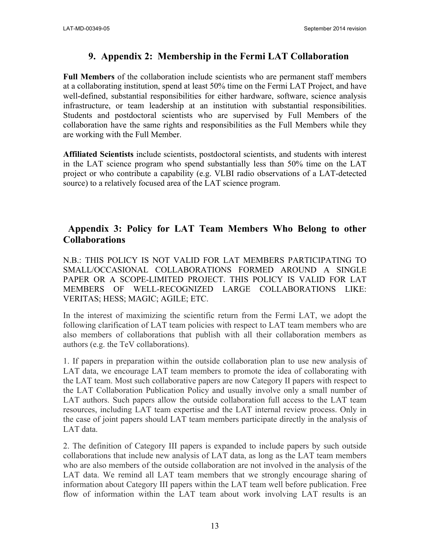#### **9. Appendix 2: Membership in the Fermi LAT Collaboration**

**Full Members** of the collaboration include scientists who are permanent staff members at a collaborating institution, spend at least 50% time on the Fermi LAT Project, and have well-defined, substantial responsibilities for either hardware, software, science analysis infrastructure, or team leadership at an institution with substantial responsibilities. Students and postdoctoral scientists who are supervised by Full Members of the collaboration have the same rights and responsibilities as the Full Members while they are working with the Full Member.

**Affiliated Scientists** include scientists, postdoctoral scientists, and students with interest in the LAT science program who spend substantially less than 50% time on the LAT project or who contribute a capability (e.g. VLBI radio observations of a LAT-detected source) to a relatively focused area of the LAT science program.

### **Appendix 3: Policy for LAT Team Members Who Belong to other Collaborations**

N.B.: THIS POLICY IS NOT VALID FOR LAT MEMBERS PARTICIPATING TO SMALL/OCCASIONAL COLLABORATIONS FORMED AROUND A SINGLE PAPER OR A SCOPE-LIMITED PROJECT. THIS POLICY IS VALID FOR LAT MEMBERS OF WELL-RECOGNIZED LARGE COLLABORATIONS LIKE: VERITAS; HESS; MAGIC; AGILE; ETC.

In the interest of maximizing the scientific return from the Fermi LAT, we adopt the following clarification of LAT team policies with respect to LAT team members who are also members of collaborations that publish with all their collaboration members as authors (e.g. the TeV collaborations).

1. If papers in preparation within the outside collaboration plan to use new analysis of LAT data, we encourage LAT team members to promote the idea of collaborating with the LAT team. Most such collaborative papers are now Category II papers with respect to the LAT Collaboration Publication Policy and usually involve only a small number of LAT authors. Such papers allow the outside collaboration full access to the LAT team resources, including LAT team expertise and the LAT internal review process. Only in the case of joint papers should LAT team members participate directly in the analysis of LAT data.

2. The definition of Category III papers is expanded to include papers by such outside collaborations that include new analysis of LAT data, as long as the LAT team members who are also members of the outside collaboration are not involved in the analysis of the LAT data. We remind all LAT team members that we strongly encourage sharing of information about Category III papers within the LAT team well before publication. Free flow of information within the LAT team about work involving LAT results is an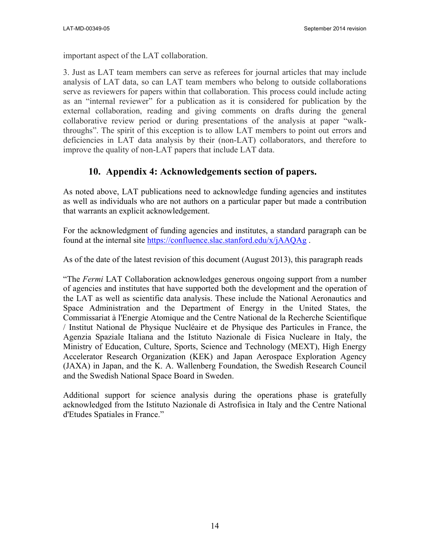important aspect of the LAT collaboration.

3. Just as LAT team members can serve as referees for journal articles that may include analysis of LAT data, so can LAT team members who belong to outside collaborations serve as reviewers for papers within that collaboration. This process could include acting as an "internal reviewer" for a publication as it is considered for publication by the external collaboration, reading and giving comments on drafts during the general collaborative review period or during presentations of the analysis at paper "walkthroughs". The spirit of this exception is to allow LAT members to point out errors and deficiencies in LAT data analysis by their (non-LAT) collaborators, and therefore to improve the quality of non-LAT papers that include LAT data.

## **10. Appendix 4: Acknowledgements section of papers.**

As noted above, LAT publications need to acknowledge funding agencies and institutes as well as individuals who are not authors on a particular paper but made a contribution that warrants an explicit acknowledgement.

For the acknowledgment of funding agencies and institutes, a standard paragraph can be found at the internal site https://confluence.slac.stanford.edu/x/jAAQAg .

As of the date of the latest revision of this document (August 2013), this paragraph reads

"The *Fermi* LAT Collaboration acknowledges generous ongoing support from a number of agencies and institutes that have supported both the development and the operation of the LAT as well as scientific data analysis. These include the National Aeronautics and Space Administration and the Department of Energy in the United States, the Commissariat à l'Energie Atomique and the Centre National de la Recherche Scientifique / Institut National de Physique Nucléaire et de Physique des Particules in France, the Agenzia Spaziale Italiana and the Istituto Nazionale di Fisica Nucleare in Italy, the Ministry of Education, Culture, Sports, Science and Technology (MEXT), High Energy Accelerator Research Organization (KEK) and Japan Aerospace Exploration Agency (JAXA) in Japan, and the K. A. Wallenberg Foundation, the Swedish Research Council and the Swedish National Space Board in Sweden.

Additional support for science analysis during the operations phase is gratefully acknowledged from the Istituto Nazionale di Astrofisica in Italy and the Centre National d'Etudes Spatiales in France."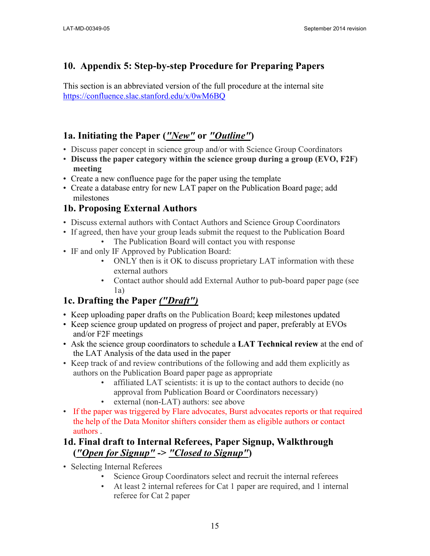# **10. Appendix 5: Step-by-step Procedure for Preparing Papers**

This section is an abbreviated version of the full procedure at the internal site https://confluence.slac.stanford.edu/x/0wM6BQ

# **1a. Initiating the Paper (***"New"* **or** *"Outline"***)**

- Discuss paper concept in science group and/or with Science Group Coordinators
- **Discuss the paper category within the science group during a group (EVO, F2F) meeting**
- Create a new confluence page for the paper using the template
- Create a database entry for new LAT paper on the Publication Board page; add milestones

# **1b. Proposing External Authors**

- Discuss external authors with Contact Authors and Science Group Coordinators
- If agreed, then have your group leads submit the request to the Publication Board • The Publication Board will contact you with response
- IF and only IF Approved by Publication Board:
	- ONLY then is it OK to discuss proprietary LAT information with these external authors
	- Contact author should add External Author to pub-board paper page (see 1a)

# **1c. Drafting the Paper** *("Draft")*

- Keep uploading paper drafts on the Publication Board; keep milestones updated
- Keep science group updated on progress of project and paper, preferably at EVOs and/or F2F meetings
- Ask the science group coordinators to schedule a **LAT Technical review** at the end of the LAT Analysis of the data used in the paper
- Keep track of and review contributions of the following and add them explicitly as authors on the Publication Board paper page as appropriate
	- affiliated LAT scientists: it is up to the contact authors to decide (no approval from Publication Board or Coordinators necessary)
	- external (non-LAT) authors: see above
- If the paper was triggered by Flare advocates, Burst advocates reports or that required the help of the Data Monitor shifters consider them as eligible authors or contact authors .

# **1d. Final draft to Internal Referees, Paper Signup, Walkthrough (***"Open for Signup"* **->** *"Closed to Signup"***)**

- Selecting Internal Referees
	- Science Group Coordinators select and recruit the internal referees
	- At least 2 internal referees for Cat 1 paper are required, and 1 internal referee for Cat 2 paper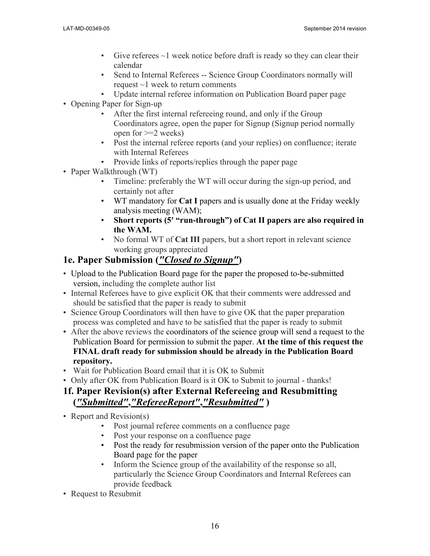- Give referees  $\sim$ 1 week notice before draft is ready so they can clear their calendar
- Send to Internal Referees -- Science Group Coordinators normally will request  $\sim$ 1 week to return comments
- Update internal referee information on Publication Board paper page
- Opening Paper for Sign-up
	- After the first internal refereeing round, and only if the Group Coordinators agree, open the paper for Signup (Signup period normally open for >=2 weeks)
	- Post the internal referee reports (and your replies) on confluence; iterate with Internal Referees
	- Provide links of reports/replies through the paper page
- Paper Walkthrough (WT)
	- Timeline: preferably the WT will occur during the sign-up period, and certainly not after
	- WT mandatory for **Cat I** papers and is usually done at the Friday weekly analysis meeting (WAM);
	- **Short reports (5' "run-through") of Cat II papers are also required in the WAM.**
	- No formal WT of **Cat III** papers, but a short report in relevant science working groups appreciated

# **1e. Paper Submission (***"Closed to Signup"***)**

- Upload to the Publication Board page for the paper the proposed to-be-submitted version, including the complete author list
- Internal Referees have to give explicit OK that their comments were addressed and should be satisfied that the paper is ready to submit
- Science Group Coordinators will then have to give OK that the paper preparation process was completed and have to be satisfied that the paper is ready to submit
- After the above reviews the coordinators of the science group will send a request to the Publication Board for permission to submit the paper. **At the time of this request the FINAL draft ready for submission should be already in the Publication Board repository.**
- Wait for Publication Board email that it is OK to Submit
- Only after OK from Publication Board is it OK to Submit to journal thanks!

# **1f. Paper Revision(s) after External Refereeing and Resubmitting (***"Submitted"***,***"RefereeReport"***,***"Resubmitted"* **)**

- Report and Revision(s)
	- Post journal referee comments on a confluence page
	- Post your response on a confluence page
	- Post the ready for resubmission version of the paper onto the Publication Board page for the paper
	- Inform the Science group of the availability of the response so all, particularly the Science Group Coordinators and Internal Referees can provide feedback
- Request to Resubmit